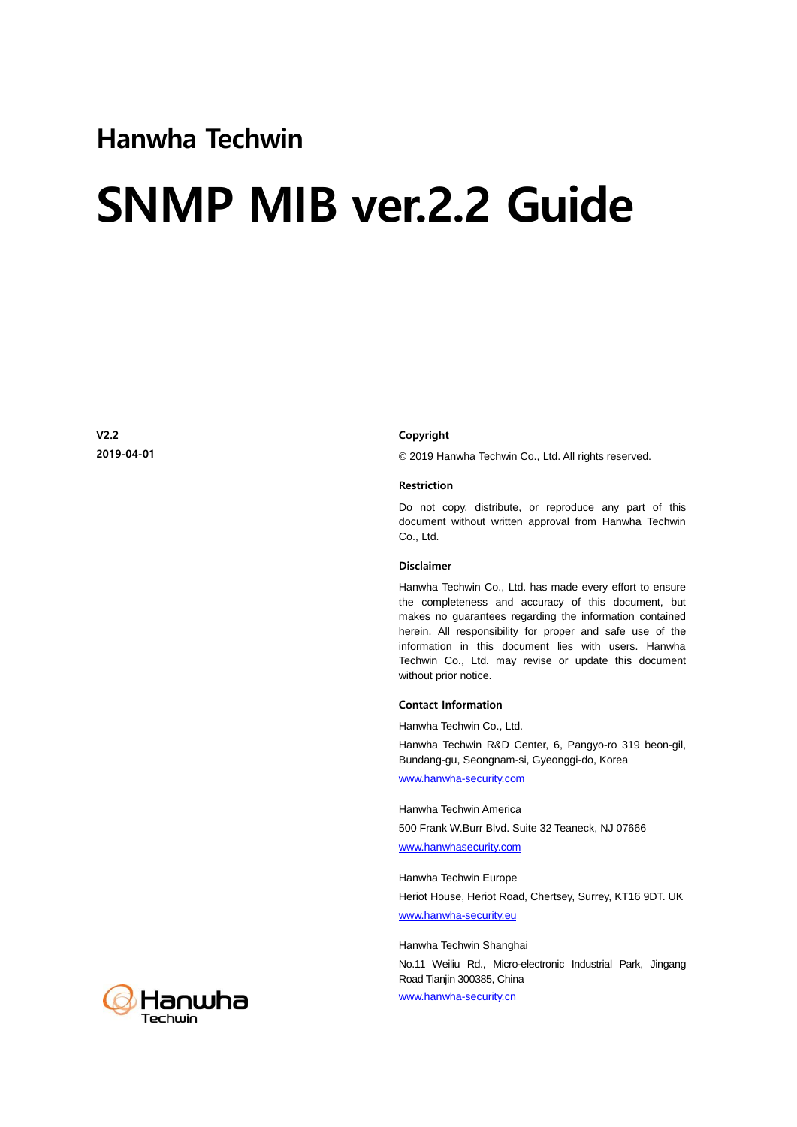### Hanwha Techwin

# SNMP MIB ver.2.2 Guide

V2.2 2019-04-01

#### Copyright

© 2019 Hanwha Techwin Co., Ltd. All rights reserved.

#### Restriction

Do not copy, distribute, or reproduce any part of this document without written approval from Hanwha Techwin Co., Ltd.

#### Disclaimer

Hanwha Techwin Co., Ltd. has made every effort to ensure the completeness and accuracy of this document, but makes no guarantees regarding the information contained herein. All responsibility for proper and safe use of the information in this document lies with users. Hanwha Techwin Co., Ltd. may revise or update this document without prior notice.

#### Contact Information

Hanwha Techwin Co., Ltd. Hanwha Techwin R&D Center, 6, Pangyo-ro 319 beon-gil, Bundang-gu, Seongnam-si, Gyeonggi-do, Korea

[www.hanwha-security.com](http://step.hanwha-security.com/) 

Hanwha Techwin America 500 Frank W.Burr Blvd. Suite 32 Teaneck, NJ 07666 [www.hanwhasecurity.com](http://www.hanwhasecurity.com/)

Hanwha Techwin Europe Heriot House, Heriot Road, Chertsey, Surrey, KT16 9DT. UK [www.hanwha-security.eu](http://www.hanwha-security.eu/)

Hanwha Techwin Shanghai

No.11 Weiliu Rd., Micro-electronic Industrial Park, Jingang Road Tianjin 300385, China [www.hanwha-security.cn](http://www.hanwha-security.cn/)

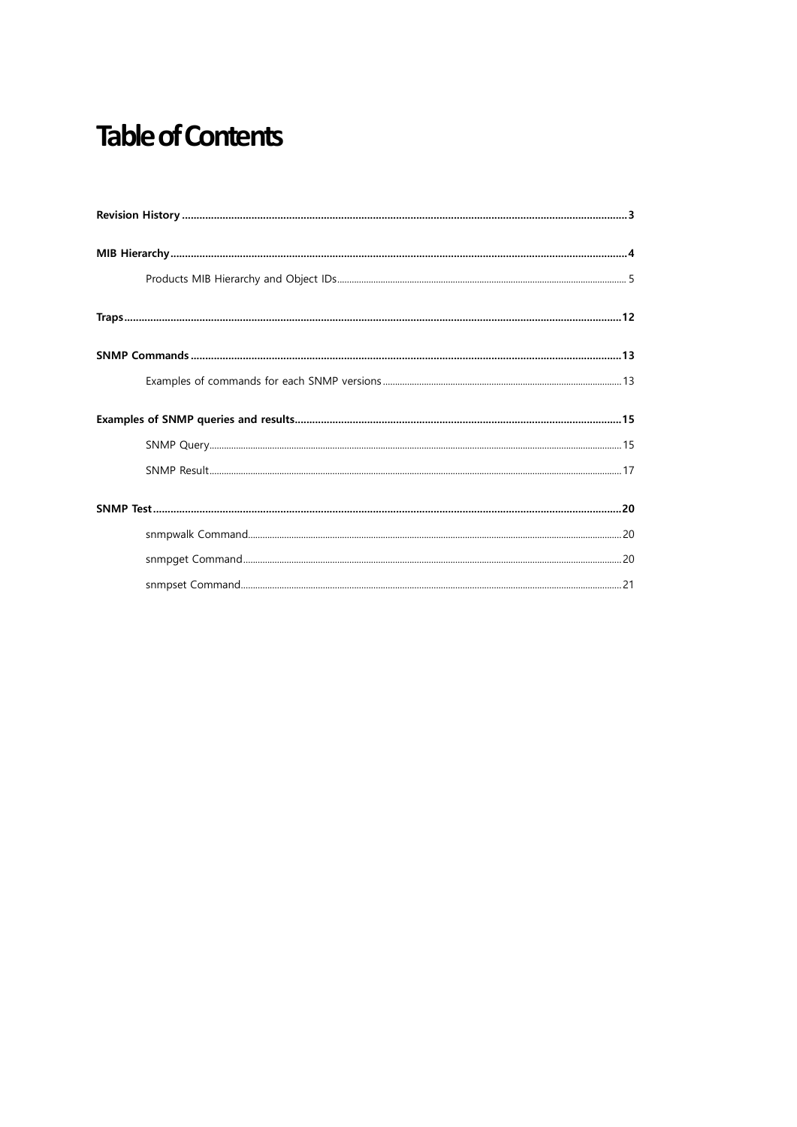## **Table of Contents**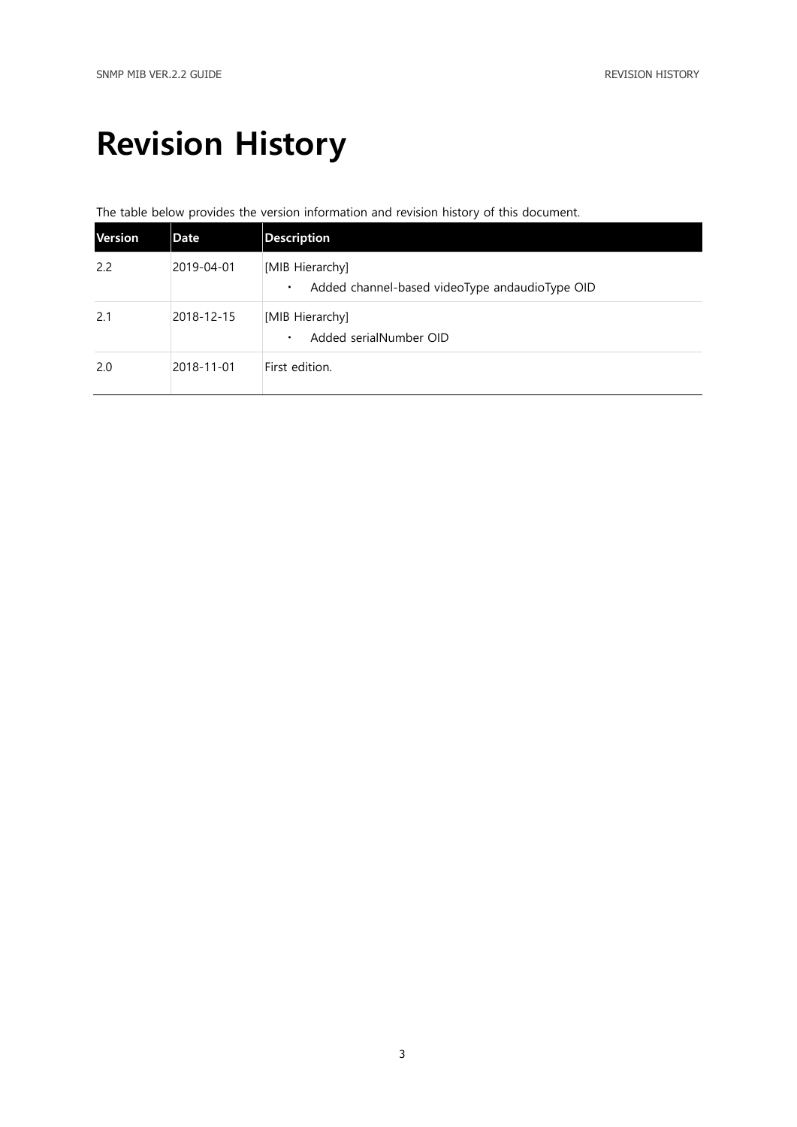## <span id="page-2-0"></span>Revision History

### The table below provides the version information and revision history of this document.

| <b>Version</b> | Date       | <b>Description</b>                                                             |
|----------------|------------|--------------------------------------------------------------------------------|
| 2.2            | 2019-04-01 | [MIB Hierarchy]<br>Added channel-based videoType andaudioType OID<br>$\bullet$ |
| 2.1            | 2018-12-15 | [MIB Hierarchy]<br>Added serialNumber OID<br>$\bullet$                         |
| 2.0            | 2018-11-01 | First edition.                                                                 |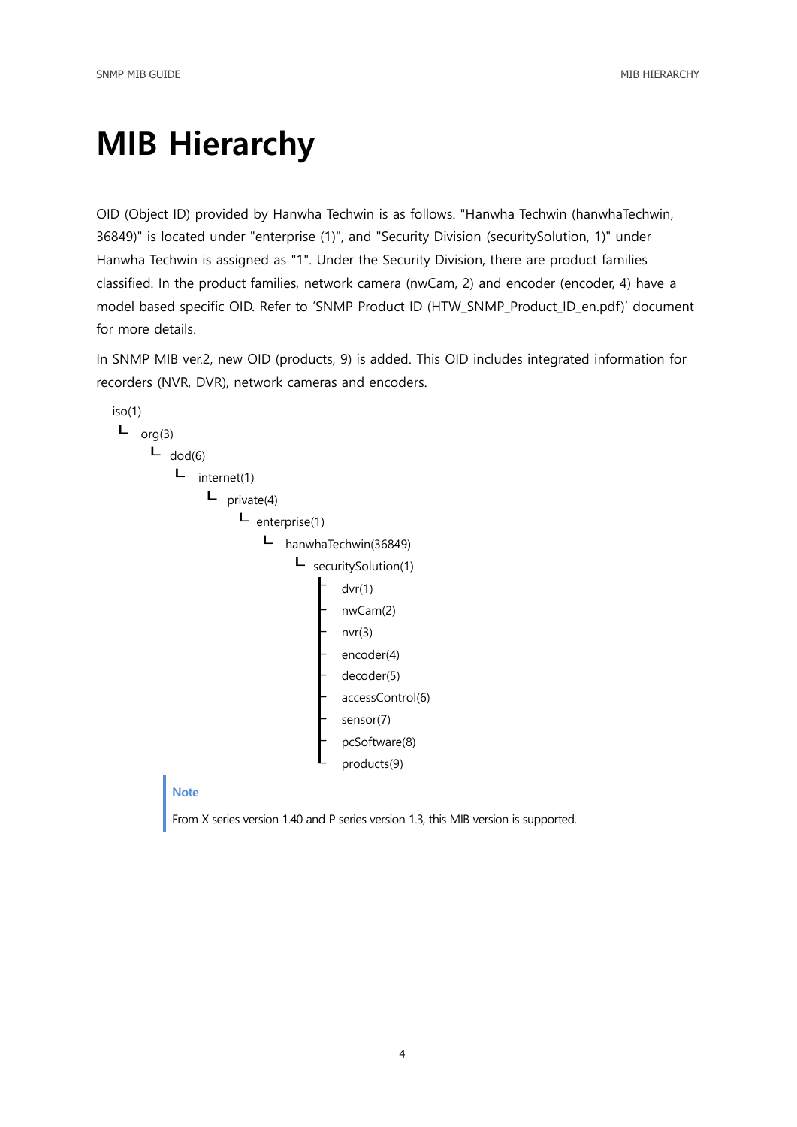## <span id="page-3-0"></span>MIB Hierarchy

OID (Object ID) provided by Hanwha Techwin is as follows. "Hanwha Techwin (hanwhaTechwin, 36849)" is located under "enterprise (1)", and "Security Division (securitySolution, 1)" under Hanwha Techwin is assigned as "1". Under the Security Division, there are product families classified. In the product families, network camera (nwCam, 2) and encoder (encoder, 4) have a model based specific OID. Refer to 'SNMP Product ID (HTW\_SNMP\_Product\_ID\_en.pdf)' document for more details.

In SNMP MIB ver.2, new OID (products, 9) is added. This OID includes integrated information for recorders (NVR, DVR), network cameras and encoders.

```
iso(1)
L org(3)
      \blacksquare dod(6)
           L internet(1)
                 L private(4)
                       L enterprise(1)
                           ┖ hanwhaTechwin(36849)
                                 L securitySolution(1)
                                          dvr(1)nwCam(2)
                                          nvr(3)encoder(4)
                                          decoder(5)
                                          accessControl(6)
                                          sensor(7)
                                          pcSoftware(8)
                                          products(9)
```
#### **Note**

From X series version 1.40 and P series version 1.3, this MIB version is supported.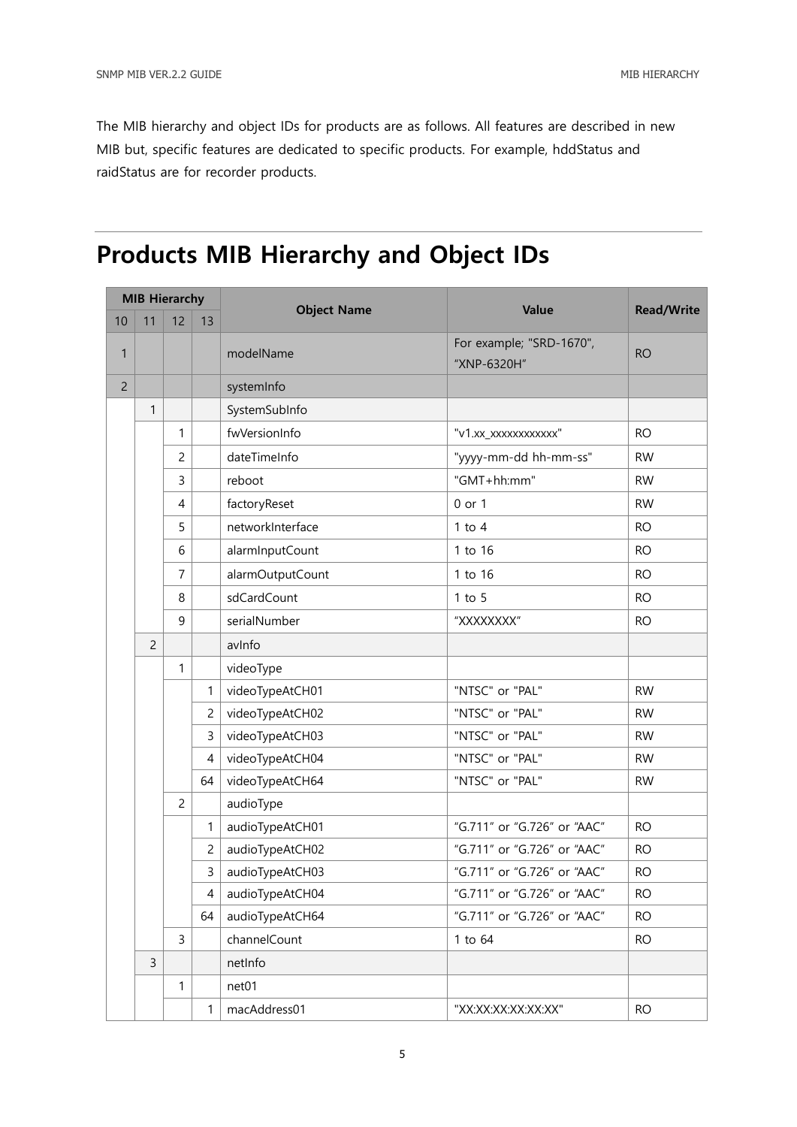The MIB hierarchy and object IDs for products are as follows. All features are described in new MIB but, specific features are dedicated to specific products. For example, hddStatus and raidStatus are for recorder products.

### <span id="page-4-0"></span>Products MIB Hierarchy and Object IDs

| <b>MIB Hierarchy</b> |                |                |                | Value              |                                         |                   |
|----------------------|----------------|----------------|----------------|--------------------|-----------------------------------------|-------------------|
| 10                   | 11             | 12             | 13             | <b>Object Name</b> |                                         | <b>Read/Write</b> |
| 1                    |                |                |                | modelName          | For example; "SRD-1670",<br>"XNP-6320H" | <b>RO</b>         |
| $\overline{c}$       |                |                |                | systemInfo         |                                         |                   |
|                      | $\mathbf{1}$   |                |                | SystemSubInfo      |                                         |                   |
|                      |                | 1              |                | fwVersionInfo      | "v1.xx_xxxxxxxxxxxx"                    | <b>RO</b>         |
|                      |                | 2              |                | dateTimeInfo       | "yyyy-mm-dd hh-mm-ss"                   | <b>RW</b>         |
|                      |                | 3              |                | reboot             | "GMT+hh:mm"                             | <b>RW</b>         |
|                      |                | 4              |                | factoryReset       | 0 or 1                                  | <b>RW</b>         |
|                      |                | 5              |                | networkInterface   | $1$ to $4$                              | <b>RO</b>         |
|                      |                | 6              |                | alarmInputCount    | 1 to 16                                 | <b>RO</b>         |
|                      |                | 7              |                | alarmOutputCount   | 1 to 16                                 | <b>RO</b>         |
|                      |                | 8              |                | sdCardCount        | $1$ to $5$                              | <b>RO</b>         |
|                      |                | 9              |                | serialNumber       | "XXXXXXXX"                              | <b>RO</b>         |
|                      | $\overline{c}$ |                |                | avinfo             |                                         |                   |
|                      |                | 1              |                | videoType          |                                         |                   |
|                      |                |                | 1              | videoTypeAtCH01    | "NTSC" or "PAL"                         | <b>RW</b>         |
|                      |                |                | $\overline{c}$ | videoTypeAtCH02    | "NTSC" or "PAL"                         | <b>RW</b>         |
|                      |                |                | 3              | videoTypeAtCH03    | "NTSC" or "PAL"                         | <b>RW</b>         |
|                      |                |                | $\overline{4}$ | videoTypeAtCH04    | "NTSC" or "PAL"                         | <b>RW</b>         |
|                      |                |                | 64             | videoTypeAtCH64    | "NTSC" or "PAL"                         | <b>RW</b>         |
|                      |                | $\overline{c}$ |                | audioType          |                                         |                   |
|                      |                |                | $\mathbf{1}$   | audioTypeAtCH01    | "G.711" or "G.726" or "AAC"             | <b>RO</b>         |
|                      |                |                | $\overline{c}$ | audioTypeAtCH02    | "G.711" or "G.726" or "AAC"             | <b>RO</b>         |
|                      |                |                | $\mathbf{3}$   | audioTypeAtCH03    | "G.711" or "G.726" or "AAC"             | <b>RO</b>         |
|                      |                |                | 4              | audioTypeAtCH04    | "G.711" or "G.726" or "AAC"             | <b>RO</b>         |
|                      |                |                | 64             | audioTypeAtCH64    | "G.711" or "G.726" or "AAC"             | <b>RO</b>         |
|                      |                | $\overline{3}$ |                | channelCount       | 1 to 64                                 | <b>RO</b>         |
|                      | 3              |                |                | netInfo            |                                         |                   |
|                      |                | 1              |                | net01              |                                         |                   |
|                      |                |                | $\mathbf{1}$   | macAddress01       | "XX:XX:XX:XX:XX:XX:                     | <b>RO</b>         |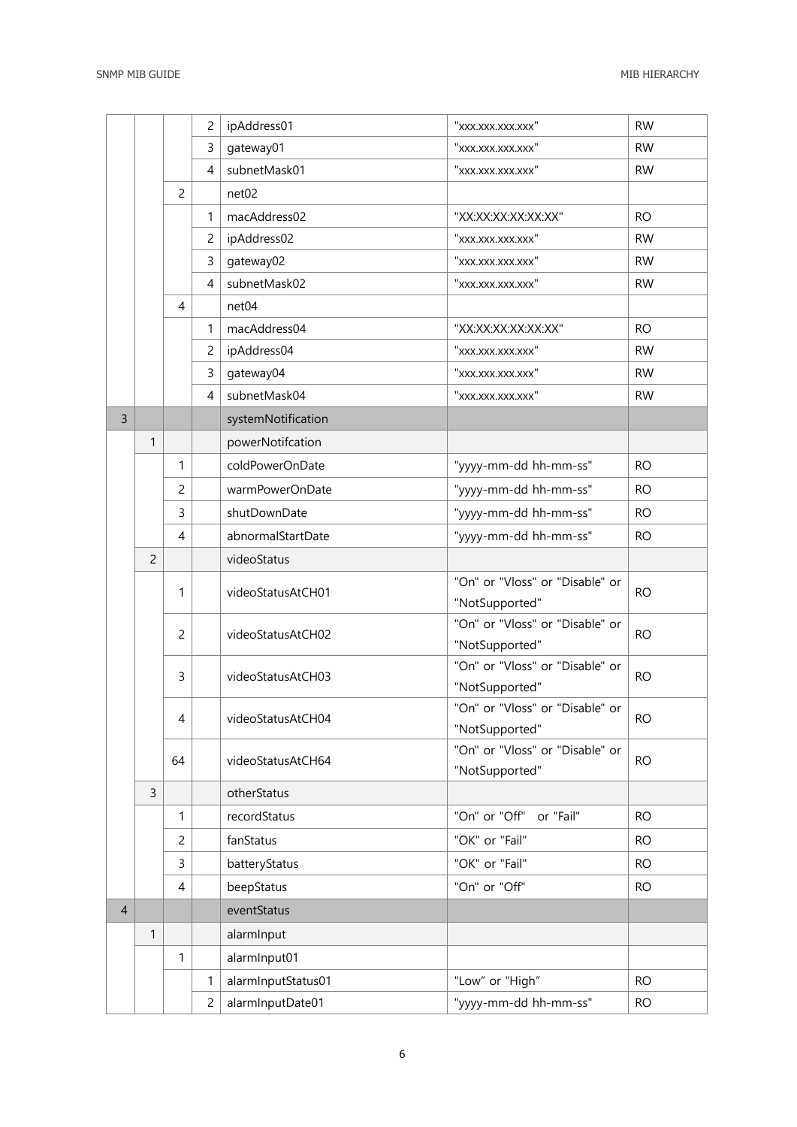|                |                |                | 2              | ipAddress01        | "xxx.xxx.xxx.xxx"                                 | <b>RW</b> |
|----------------|----------------|----------------|----------------|--------------------|---------------------------------------------------|-----------|
|                |                |                | 3              | gateway01          | "xxx.xxx.xxx.xxx"                                 | <b>RW</b> |
|                |                |                | $\overline{4}$ | subnetMask01       | "xxx.xxx.xxx.xxx"                                 | <b>RW</b> |
|                |                | $\overline{c}$ |                | net <sub>02</sub>  |                                                   |           |
|                |                |                | 1              | macAddress02       | "XX:XX:XX:XX:XX:XX:                               | <b>RO</b> |
|                |                |                | 2              | ipAddress02        | "xxx.xxx.xxx.xxx"                                 | <b>RW</b> |
|                |                |                | 3              | gateway02          | "xxx.xxx.xxx.xxx"                                 | <b>RW</b> |
|                |                |                | $\overline{4}$ | subnetMask02       | "xxx.xxx.xxx.xxx"                                 | <b>RW</b> |
|                |                | $\overline{4}$ |                | net <sub>04</sub>  |                                                   |           |
|                |                |                | 1              | macAddress04       | "XX:XX:XX:XX:XX:XX"                               | <b>RO</b> |
|                |                |                | 2              | ipAddress04        | "xxx.xxx.xxx.xxx"                                 | <b>RW</b> |
|                |                |                | 3              | gateway04          | "xxx.xxx.xxx.xxx"                                 | <b>RW</b> |
|                |                |                | $\overline{4}$ | subnetMask04       | "xxx.xxx.xxx.xxx"                                 | <b>RW</b> |
| 3              |                |                |                | systemNotification |                                                   |           |
|                | 1              |                |                | powerNotifcation   |                                                   |           |
|                |                | 1              |                | coldPowerOnDate    | "yyyy-mm-dd hh-mm-ss"                             | <b>RO</b> |
|                |                | $\overline{c}$ |                | warmPowerOnDate    | "yyyy-mm-dd hh-mm-ss"                             | <b>RO</b> |
|                |                | $\overline{3}$ |                | shutDownDate       | "yyyy-mm-dd hh-mm-ss"                             | <b>RO</b> |
|                |                | $\overline{4}$ |                | abnormalStartDate  | "yyyy-mm-dd hh-mm-ss"                             | <b>RO</b> |
|                | $\overline{c}$ |                |                | videoStatus        |                                                   |           |
|                |                | 1              |                | videoStatusAtCH01  | "On" or "Vloss" or "Disable" or<br>"NotSupported" | <b>RO</b> |
|                |                | $\overline{c}$ |                | videoStatusAtCH02  | "On" or "Vloss" or "Disable" or<br>"NotSupported" | <b>RO</b> |
|                |                | 3              |                | videoStatusAtCH03  | "On" or "Vloss" or "Disable" or<br>"NotSupported" | <b>RO</b> |
|                |                | 4              |                | videoStatusAtCH04  | "On" or "Vloss" or "Disable" or<br>"NotSupported" | <b>RO</b> |
|                |                | 64             |                | videoStatusAtCH64  | "On" or "Vloss" or "Disable" or<br>"NotSupported" | <b>RO</b> |
|                | 3              |                |                | otherStatus        |                                                   |           |
|                |                | 1              |                | recordStatus       | "On" or "Off"<br>or "Fail"                        | <b>RO</b> |
|                |                | $\overline{c}$ |                | fanStatus          | "OK" or "Fail"                                    | <b>RO</b> |
|                |                | 3              |                | batteryStatus      | "OK" or "Fail"                                    | <b>RO</b> |
|                |                | 4              |                | beepStatus         | "On" or "Off"                                     | <b>RO</b> |
| $\overline{4}$ |                |                |                | eventStatus        |                                                   |           |
|                | $\mathbf{1}$   |                |                | alarmInput         |                                                   |           |
|                |                | $\mathbf{1}$   |                | alarmInput01       |                                                   |           |
|                |                |                | 1              | alarmInputStatus01 | "Low" or "High"                                   | <b>RO</b> |
|                |                |                | $\overline{c}$ | alarmInputDate01   | "yyyy-mm-dd hh-mm-ss"                             | <b>RO</b> |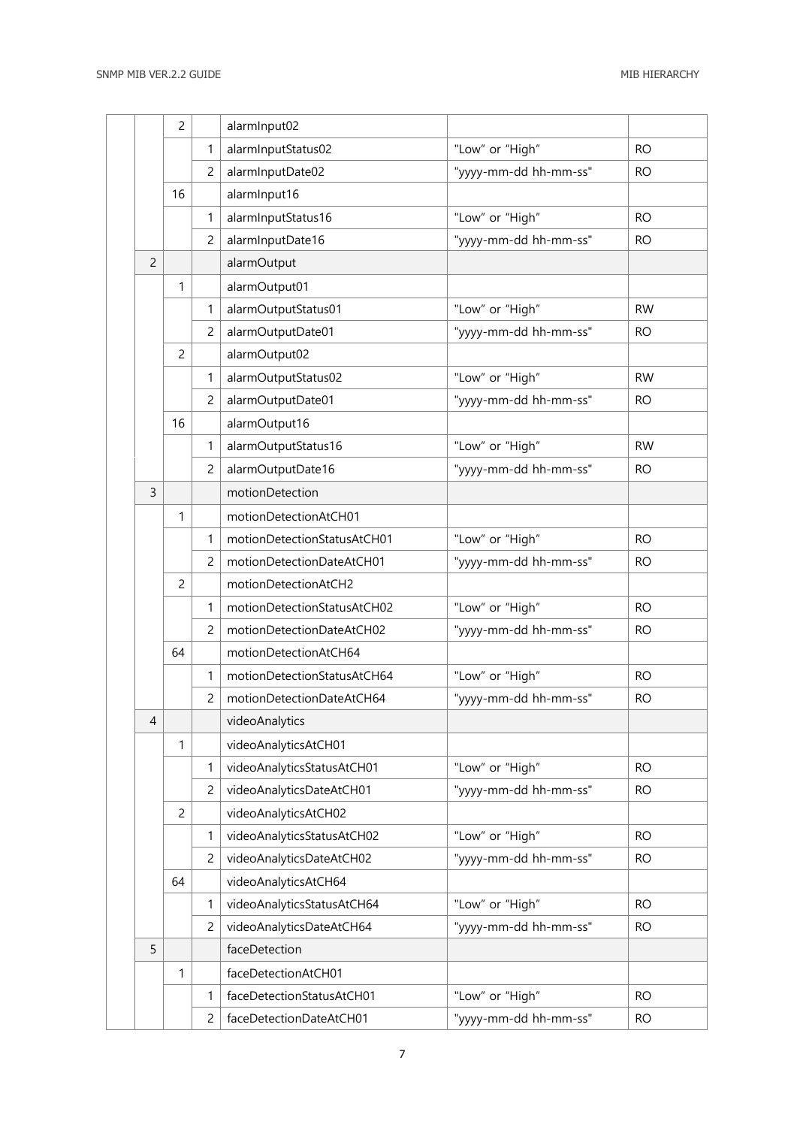|                | $\overline{c}$ |                | alarmInput02                |                       |           |
|----------------|----------------|----------------|-----------------------------|-----------------------|-----------|
|                |                | $\mathbf{1}$   | alarmInputStatus02          | "Low" or "High"       | <b>RO</b> |
|                |                | 2              | alarmInputDate02            | "yyyy-mm-dd hh-mm-ss" | <b>RO</b> |
|                | 16             |                | alarmInput16                |                       |           |
|                |                | $\mathbf{1}$   | alarmInputStatus16          | "Low" or "High"       | <b>RO</b> |
|                |                | 2              | alarmInputDate16            | "yyyy-mm-dd hh-mm-ss" | <b>RO</b> |
| $\overline{c}$ |                |                | alarmOutput                 |                       |           |
|                | $\mathbf{1}$   |                | alarmOutput01               |                       |           |
|                |                | $\mathbf{1}$   | alarmOutputStatus01         | "Low" or "High"       | <b>RW</b> |
|                |                | $\overline{2}$ | alarmOutputDate01           | "yyyy-mm-dd hh-mm-ss" | <b>RO</b> |
|                | $\overline{c}$ |                | alarmOutput02               |                       |           |
|                |                | $\mathbf{1}$   | alarmOutputStatus02         | "Low" or "High"       | <b>RW</b> |
|                |                | $\overline{c}$ | alarmOutputDate01           | "yyyy-mm-dd hh-mm-ss" | <b>RO</b> |
|                | 16             |                | alarmOutput16               |                       |           |
|                |                | $\mathbf{1}$   | alarmOutputStatus16         | "Low" or "High"       | <b>RW</b> |
|                |                | $\overline{c}$ | alarmOutputDate16           | "yyyy-mm-dd hh-mm-ss" | <b>RO</b> |
| 3              |                |                | motionDetection             |                       |           |
|                | 1              |                | motionDetectionAtCH01       |                       |           |
|                |                | $\mathbf{1}$   | motionDetectionStatusAtCH01 | "Low" or "High"       | <b>RO</b> |
|                |                | $\overline{c}$ | motionDetectionDateAtCH01   | "yyyy-mm-dd hh-mm-ss" | <b>RO</b> |
|                | $\overline{c}$ |                | motionDetectionAtCH2        |                       |           |
|                |                | $\mathbf{1}$   | motionDetectionStatusAtCH02 | "Low" or "High"       | <b>RO</b> |
|                |                | $\overline{c}$ | motionDetectionDateAtCH02   | "yyyy-mm-dd hh-mm-ss" | <b>RO</b> |
|                | 64             |                | motionDetectionAtCH64       |                       |           |
|                |                | $\mathbf{1}$   | motionDetectionStatusAtCH64 | "Low" or "High"       | <b>RO</b> |
|                |                | $\overline{c}$ | motionDetectionDateAtCH64   | "yyyy-mm-dd hh-mm-ss" | <b>RO</b> |
| 4              |                |                | videoAnalytics              |                       |           |
|                | 1              |                | videoAnalyticsAtCH01        |                       |           |
|                |                | $\mathbf{1}$   | videoAnalyticsStatusAtCH01  | "Low" or "High"       | <b>RO</b> |
|                |                | $\overline{c}$ | videoAnalyticsDateAtCH01    | "yyyy-mm-dd hh-mm-ss" | <b>RO</b> |
|                | $\overline{c}$ |                | videoAnalyticsAtCH02        |                       |           |
|                |                | $\mathbf{1}$   | videoAnalyticsStatusAtCH02  | "Low" or "High"       | <b>RO</b> |
|                |                | $\overline{c}$ | videoAnalyticsDateAtCH02    | "yyyy-mm-dd hh-mm-ss" | <b>RO</b> |
|                | 64             |                | videoAnalyticsAtCH64        |                       |           |
|                |                | $\mathbf{1}$   | videoAnalyticsStatusAtCH64  | "Low" or "High"       | <b>RO</b> |
|                |                | $\overline{c}$ | videoAnalyticsDateAtCH64    | "yyyy-mm-dd hh-mm-ss" | <b>RO</b> |
| 5              |                |                | faceDetection               |                       |           |
|                | 1              |                | faceDetectionAtCH01         |                       |           |
|                |                | $\mathbf{1}$   | faceDetectionStatusAtCH01   | "Low" or "High"       | <b>RO</b> |
|                |                | 2              | faceDetectionDateAtCH01     | "yyyy-mm-dd hh-mm-ss" | <b>RO</b> |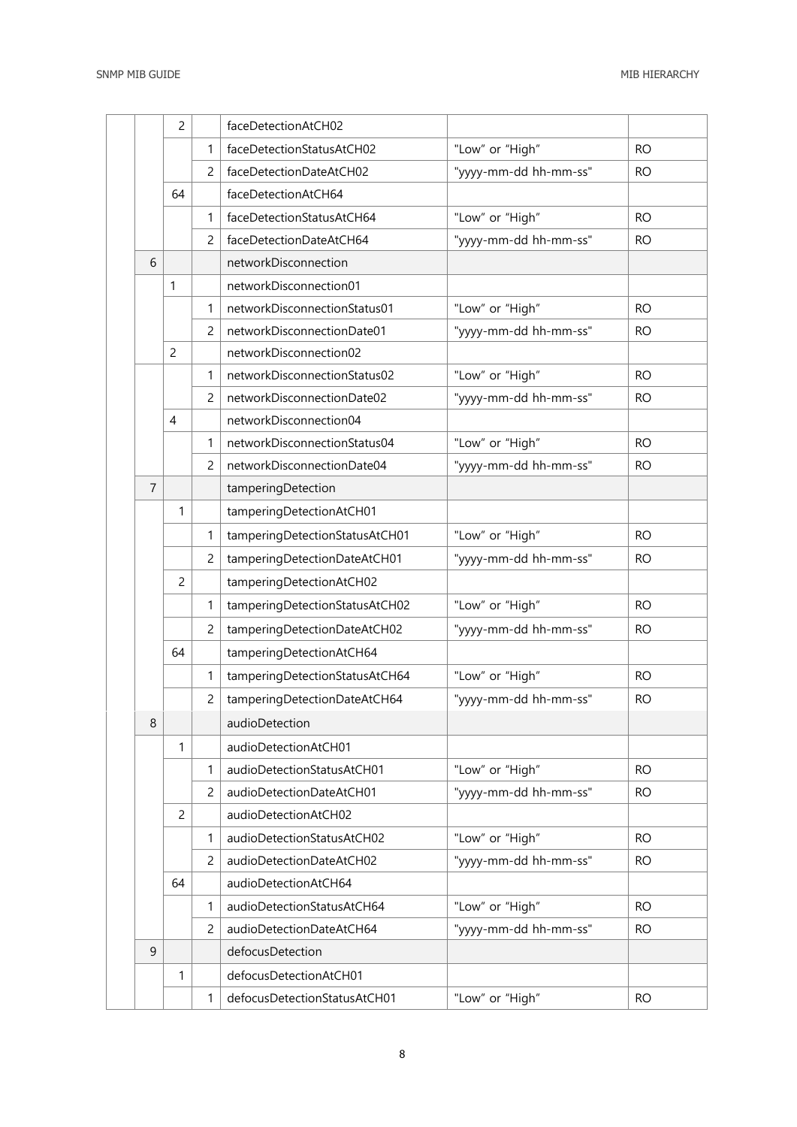|                | $\overline{c}$ |                | faceDetectionAtCH02            |                       |           |
|----------------|----------------|----------------|--------------------------------|-----------------------|-----------|
|                |                | 1              | faceDetectionStatusAtCH02      | "Low" or "High"       | <b>RO</b> |
|                |                | $\overline{2}$ | faceDetectionDateAtCH02        | "yyyy-mm-dd hh-mm-ss" | <b>RO</b> |
|                | 64             |                | faceDetectionAtCH64            |                       |           |
|                |                | 1              | faceDetectionStatusAtCH64      | "Low" or "High"       | <b>RO</b> |
|                |                | 2              | faceDetectionDateAtCH64        | "yyyy-mm-dd hh-mm-ss" | <b>RO</b> |
| 6              |                |                | networkDisconnection           |                       |           |
|                | $\mathbf{1}$   |                | networkDisconnection01         |                       |           |
|                |                | 1              | networkDisconnectionStatus01   | "Low" or "High"       | <b>RO</b> |
|                |                | $\overline{2}$ | networkDisconnectionDate01     | "yyyy-mm-dd hh-mm-ss" | <b>RO</b> |
|                | $\overline{2}$ |                | networkDisconnection02         |                       |           |
|                |                | 1              | networkDisconnectionStatus02   | "Low" or "High"       | <b>RO</b> |
|                |                | $\overline{2}$ | networkDisconnectionDate02     | "yyyy-mm-dd hh-mm-ss" | <b>RO</b> |
|                | 4              |                | networkDisconnection04         |                       |           |
|                |                | 1              | networkDisconnectionStatus04   | "Low" or "High"       | <b>RO</b> |
|                |                | 2              | networkDisconnectionDate04     | "yyyy-mm-dd hh-mm-ss" | <b>RO</b> |
| $\overline{7}$ |                |                | tamperingDetection             |                       |           |
|                | 1              |                | tamperingDetectionAtCH01       |                       |           |
|                |                | 1              | tamperingDetectionStatusAtCH01 | "Low" or "High"       | <b>RO</b> |
|                |                | 2              | tamperingDetectionDateAtCH01   | "yyyy-mm-dd hh-mm-ss" | <b>RO</b> |
|                | $\overline{c}$ |                | tamperingDetectionAtCH02       |                       |           |
|                |                | 1              | tamperingDetectionStatusAtCH02 | "Low" or "High"       | <b>RO</b> |
|                |                | $\overline{c}$ | tamperingDetectionDateAtCH02   | "yyyy-mm-dd hh-mm-ss" | <b>RO</b> |
|                | 64             |                | tamperingDetectionAtCH64       |                       |           |
|                |                | 1              | tamperingDetectionStatusAtCH64 | "Low" or "High"       | <b>RO</b> |
|                |                | $\overline{c}$ | tamperingDetectionDateAtCH64   | "yyyy-mm-dd hh-mm-ss" | <b>RO</b> |
| 8              |                |                | audioDetection                 |                       |           |
|                | 1              |                | audioDetectionAtCH01           |                       |           |
|                |                | 1              | audioDetectionStatusAtCH01     | "Low" or "High"       | <b>RO</b> |
|                |                | $\overline{c}$ | audioDetectionDateAtCH01       | "yyyy-mm-dd hh-mm-ss" | <b>RO</b> |
|                | $\overline{c}$ |                | audioDetectionAtCH02           |                       |           |
|                |                | 1              | audioDetectionStatusAtCH02     | "Low" or "High"       | <b>RO</b> |
|                |                | $\overline{c}$ | audioDetectionDateAtCH02       | "yyyy-mm-dd hh-mm-ss" | <b>RO</b> |
|                | 64             |                | audioDetectionAtCH64           |                       |           |
|                |                | 1              | audioDetectionStatusAtCH64     | "Low" or "High"       | <b>RO</b> |
|                |                | $\overline{c}$ | audioDetectionDateAtCH64       | "yyyy-mm-dd hh-mm-ss" | <b>RO</b> |
| 9              |                |                | defocusDetection               |                       |           |
|                | 1              |                | defocusDetectionAtCH01         |                       |           |
|                |                | 1              | defocusDetectionStatusAtCH01   | "Low" or "High"       | <b>RO</b> |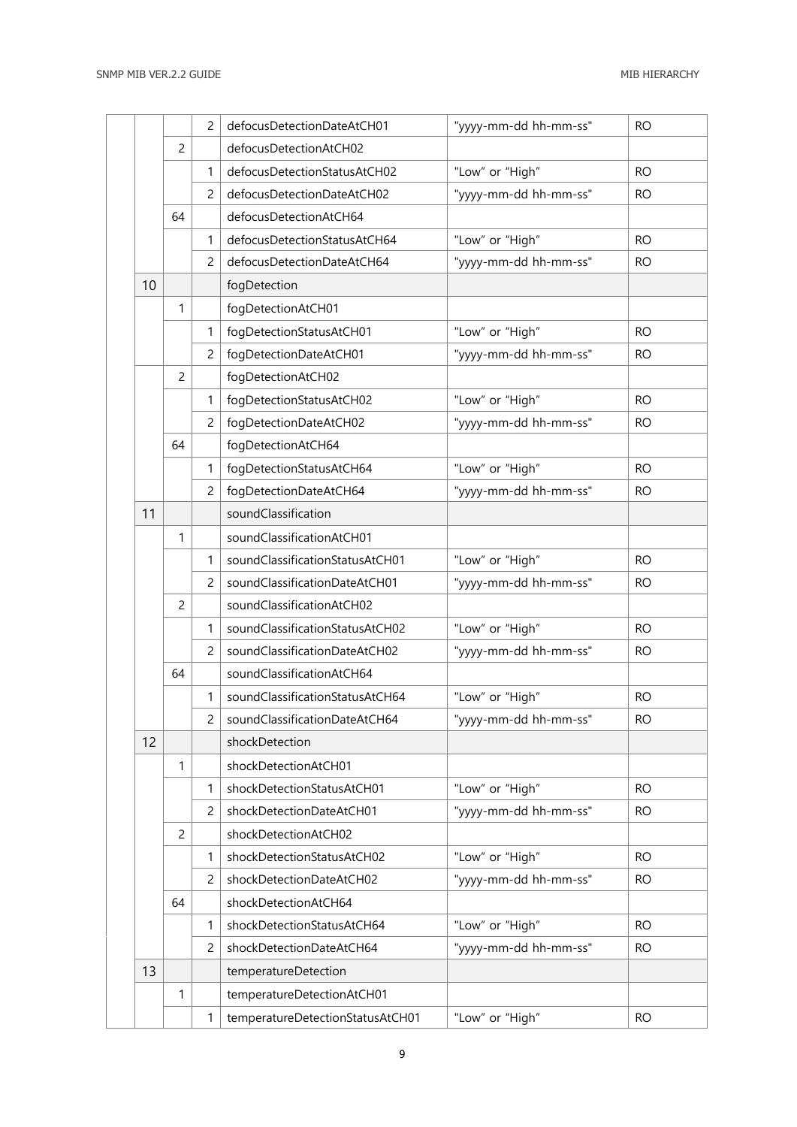|    |                | $\overline{c}$ | defocusDetectionDateAtCH01       | "yyyy-mm-dd hh-mm-ss" | <b>RO</b> |
|----|----------------|----------------|----------------------------------|-----------------------|-----------|
|    | $\overline{c}$ |                | defocusDetectionAtCH02           |                       |           |
|    |                | 1              | defocusDetectionStatusAtCH02     | "Low" or "High"       | <b>RO</b> |
|    |                | 2              | defocusDetectionDateAtCH02       | "yyyy-mm-dd hh-mm-ss" | RO.       |
|    | 64             |                | defocusDetectionAtCH64           |                       |           |
|    |                | 1              | defocusDetectionStatusAtCH64     | "Low" or "High"       | <b>RO</b> |
|    |                | $\overline{2}$ | defocusDetectionDateAtCH64       | "yyyy-mm-dd hh-mm-ss" | <b>RO</b> |
| 10 |                |                | fogDetection                     |                       |           |
|    | $\mathbf{1}$   |                | fogDetectionAtCH01               |                       |           |
|    |                | $\mathbf{1}$   | fogDetectionStatusAtCH01         | "Low" or "High"       | <b>RO</b> |
|    |                | 2              | fogDetectionDateAtCH01           | "yyyy-mm-dd hh-mm-ss" | RO.       |
|    | $\overline{c}$ |                | fogDetectionAtCH02               |                       |           |
|    |                | 1              | fogDetectionStatusAtCH02         | "Low" or "High"       | <b>RO</b> |
|    |                | $\overline{c}$ | fogDetectionDateAtCH02           | "yyyy-mm-dd hh-mm-ss" | <b>RO</b> |
|    | 64             |                | fogDetectionAtCH64               |                       |           |
|    |                | $\mathbf{1}$   | fogDetectionStatusAtCH64         | "Low" or "High"       | <b>RO</b> |
|    |                | 2              | fogDetectionDateAtCH64           | "yyyy-mm-dd hh-mm-ss" | <b>RO</b> |
| 11 |                |                | soundClassification              |                       |           |
|    | $\mathbf{1}$   |                | soundClassificationAtCH01        |                       |           |
|    |                | $\mathbf{1}$   | soundClassificationStatusAtCH01  | "Low" or "High"       | <b>RO</b> |
|    |                | $\overline{c}$ | soundClassificationDateAtCH01    | "yyyy-mm-dd hh-mm-ss" | <b>RO</b> |
|    | $\overline{c}$ |                | soundClassificationAtCH02        |                       |           |
|    |                | 1              | soundClassificationStatusAtCH02  | "Low" or "High"       | <b>RO</b> |
|    |                | 2              | soundClassificationDateAtCH02    | "yyyy-mm-dd hh-mm-ss" | <b>RO</b> |
|    | 64             |                | soundClassificationAtCH64        |                       |           |
|    |                | 1              | soundClassificationStatusAtCH64  | "Low" or "High"       | <b>RO</b> |
|    |                | $\overline{c}$ | soundClassificationDateAtCH64    | "yyyy-mm-dd hh-mm-ss" | <b>RO</b> |
| 12 |                |                | shockDetection                   |                       |           |
|    | $\mathbf{1}$   |                | shockDetectionAtCH01             |                       |           |
|    |                | 1              | shockDetectionStatusAtCH01       | "Low" or "High"       | <b>RO</b> |
|    |                | $\overline{c}$ | shockDetectionDateAtCH01         | "yyyy-mm-dd hh-mm-ss" | <b>RO</b> |
|    | $\overline{c}$ |                | shockDetectionAtCH02             |                       |           |
|    |                | 1              | shockDetectionStatusAtCH02       | "Low" or "High"       | <b>RO</b> |
|    |                | $\overline{c}$ | shockDetectionDateAtCH02         | "yyyy-mm-dd hh-mm-ss" | <b>RO</b> |
|    | 64             |                | shockDetectionAtCH64             |                       |           |
|    |                | 1              | shockDetectionStatusAtCH64       | "Low" or "High"       | <b>RO</b> |
|    |                | 2              | shockDetectionDateAtCH64         | "yyyy-mm-dd hh-mm-ss" | <b>RO</b> |
| 13 |                |                | temperatureDetection             |                       |           |
|    | $\mathbf{1}$   |                | temperatureDetectionAtCH01       |                       |           |
|    |                | 1              | temperatureDetectionStatusAtCH01 | "Low" or "High"       | <b>RO</b> |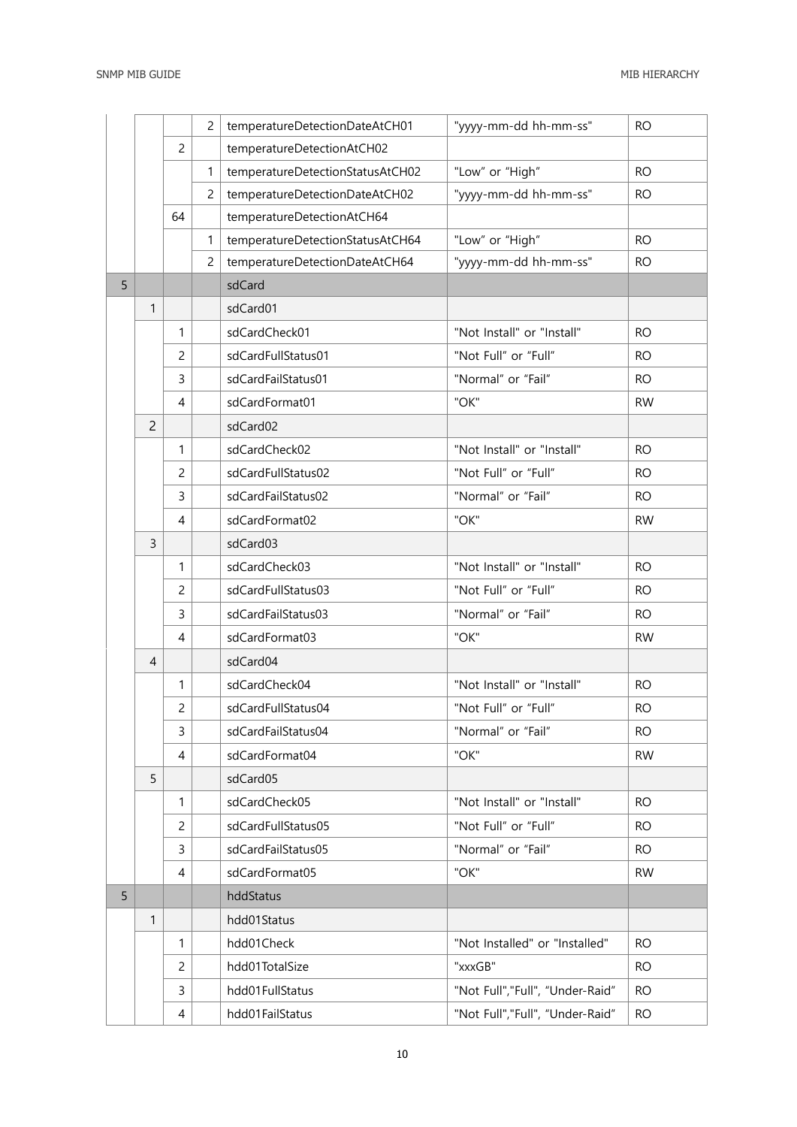|   |                |                | $\overline{c}$ | temperatureDetectionDateAtCH01   | "yyyy-mm-dd hh-mm-ss"            | <b>RO</b> |
|---|----------------|----------------|----------------|----------------------------------|----------------------------------|-----------|
|   |                | $\overline{c}$ |                | temperatureDetectionAtCH02       |                                  |           |
|   |                |                | 1              | temperatureDetectionStatusAtCH02 | "Low" or "High"                  | <b>RO</b> |
|   |                |                | $\overline{2}$ | temperatureDetectionDateAtCH02   | "yyyy-mm-dd hh-mm-ss"            | <b>RO</b> |
|   |                | 64             |                | temperatureDetectionAtCH64       |                                  |           |
|   |                |                | 1              | temperatureDetectionStatusAtCH64 | "Low" or "High"                  | <b>RO</b> |
|   |                |                | $\overline{c}$ | temperatureDetectionDateAtCH64   | "yyyy-mm-dd hh-mm-ss"            | <b>RO</b> |
| 5 |                |                |                | sdCard                           |                                  |           |
|   | 1              |                |                | sdCard01                         |                                  |           |
|   |                | 1              |                | sdCardCheck01                    | "Not Install" or "Install"       | <b>RO</b> |
|   |                | $\overline{c}$ |                | sdCardFullStatus01               | "Not Full" or "Full"             | <b>RO</b> |
|   |                | $\overline{3}$ |                | sdCardFailStatus01               | "Normal" or "Fail"               | <b>RO</b> |
|   |                | $\overline{4}$ |                | sdCardFormat01                   | "OK"                             | <b>RW</b> |
|   | $\overline{c}$ |                |                | sdCard02                         |                                  |           |
|   |                | 1              |                | sdCardCheck02                    | "Not Install" or "Install"       | <b>RO</b> |
|   |                | $\overline{c}$ |                | sdCardFullStatus02               | "Not Full" or "Full"             | <b>RO</b> |
|   |                | 3              |                | sdCardFailStatus02               | "Normal" or "Fail"               | <b>RO</b> |
|   |                | $\overline{4}$ |                | sdCardFormat02                   | "OK"                             | <b>RW</b> |
|   | $\overline{3}$ |                |                | sdCard03                         |                                  |           |
|   |                | 1              |                | sdCardCheck03                    | "Not Install" or "Install"       | <b>RO</b> |
|   |                | $\overline{c}$ |                | sdCardFullStatus03               | "Not Full" or "Full"             | <b>RO</b> |
|   |                | 3              |                | sdCardFailStatus03               | "Normal" or "Fail"               | <b>RO</b> |
|   |                | 4              |                | sdCardFormat03                   | "OK"                             | <b>RW</b> |
|   | $\overline{4}$ |                |                | sdCard04                         |                                  |           |
|   |                | 1              |                | sdCardCheck04                    | "Not Install" or "Install"       | <b>RO</b> |
|   |                | $\overline{c}$ |                | sdCardFullStatus04               | "Not Full" or "Full"             | RO.       |
|   |                | 3              |                | sdCardFailStatus04               | "Normal" or "Fail"               | <b>RO</b> |
|   |                | 4              |                | sdCardFormat04                   | "OK"                             | <b>RW</b> |
|   | 5              |                |                | sdCard05                         |                                  |           |
|   |                | 1              |                | sdCardCheck05                    | "Not Install" or "Install"       | <b>RO</b> |
|   |                | 2              |                | sdCardFullStatus05               | "Not Full" or "Full"             | <b>RO</b> |
|   |                | 3              |                | sdCardFailStatus05               | "Normal" or "Fail"               | <b>RO</b> |
|   |                | 4              |                | sdCardFormat05                   | "OK"                             | <b>RW</b> |
| 5 |                |                |                | hddStatus                        |                                  |           |
|   | $\mathbf{1}$   |                |                | hdd01Status                      |                                  |           |
|   |                | 1              |                | hdd01Check                       | "Not Installed" or "Installed"   | RO.       |
|   |                | 2              |                | hdd01TotalSize                   | "xxxGB"                          | RO.       |
|   |                | 3              |                | hdd01FullStatus                  | "Not Full", "Full", "Under-Raid" | <b>RO</b> |
|   |                | 4              |                | hdd01FailStatus                  | "Not Full", "Full", "Under-Raid" | <b>RO</b> |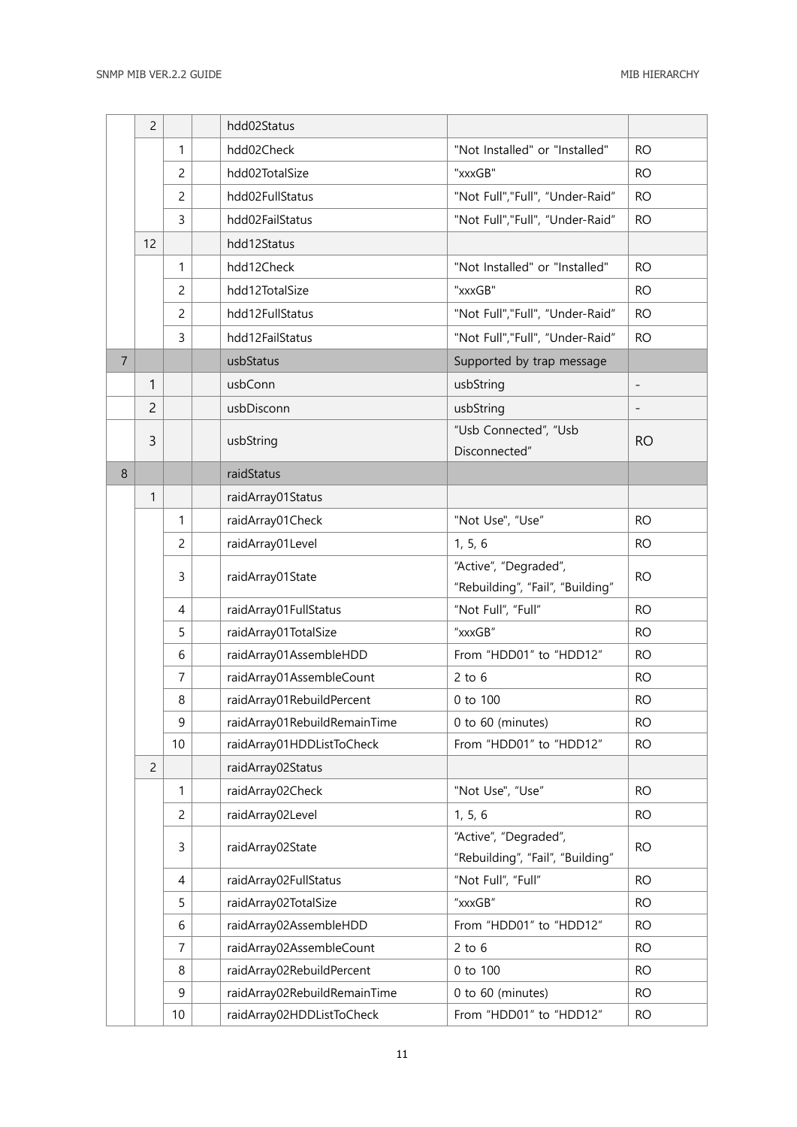|                | 2              |                | hdd02Status                                           |                                       |                        |
|----------------|----------------|----------------|-------------------------------------------------------|---------------------------------------|------------------------|
|                |                | 1              | hdd02Check                                            | "Not Installed" or "Installed"        | <b>RO</b>              |
|                |                | $\overline{c}$ | hdd02TotalSize                                        | "xxxGB"                               | <b>RO</b>              |
|                |                | $\overline{c}$ | hdd02FullStatus                                       | "Not Full","Full", "Under-Raid"       | <b>RO</b>              |
|                |                | 3              | hdd02FailStatus                                       | "Not Full","Full", "Under-Raid"       | <b>RO</b>              |
|                | 12             |                | hdd12Status                                           |                                       |                        |
|                |                | 1              | hdd12Check                                            | "Not Installed" or "Installed"        | <b>RO</b>              |
|                |                | $\overline{c}$ | hdd12TotalSize                                        | "xxxGB"                               | <b>RO</b>              |
|                |                | $\overline{c}$ | hdd12FullStatus                                       | "Not Full", "Full", "Under-Raid"      | <b>RO</b>              |
|                |                | 3              | hdd12FailStatus                                       | "Not Full", "Full", "Under-Raid"      | <b>RO</b>              |
| $\overline{7}$ |                |                | usbStatus                                             | Supported by trap message             |                        |
|                | 1              |                | usbConn                                               | usbString                             | $\qquad \qquad -$      |
|                | $\overline{c}$ |                | usbDisconn                                            | usbString                             | -                      |
|                | 3              |                | usbString                                             | "Usb Connected", "Usb                 | <b>RO</b>              |
|                |                |                |                                                       | Disconnected"                         |                        |
| 8              |                |                | raidStatus                                            |                                       |                        |
|                | 1              |                | raidArray01Status                                     |                                       |                        |
|                |                | 1              | raidArray01Check                                      | "Not Use", "Use"                      | <b>RO</b>              |
|                |                | $\overline{c}$ | raidArray01Level                                      | 1, 5, 6                               | <b>RO</b>              |
|                |                | 3              | raidArray01State                                      | "Active", "Degraded",                 | <b>RO</b>              |
|                |                |                |                                                       | "Rebuilding", "Fail", "Building"      |                        |
|                |                | $\overline{4}$ | raidArray01FullStatus                                 | "Not Full", "Full"                    | <b>RO</b>              |
|                |                | 5              | raidArray01TotalSize                                  | "xxxGB"                               | <b>RO</b>              |
|                |                | 6              | raidArray01AssembleHDD                                | From "HDD01" to "HDD12"               | <b>RO</b>              |
|                |                | 7              | raidArray01AssembleCount                              | $2$ to $6$                            | <b>RO</b>              |
|                |                | 8              | raidArray01RebuildPercent                             | 0 to 100                              | <b>RO</b>              |
|                |                | 9              | raidArray01RebuildRemainTime                          | 0 to 60 (minutes)                     | <b>RO</b>              |
|                |                | 10             | raidArray01HDDListToCheck                             | From "HDD01" to "HDD12"               | <b>RO</b>              |
|                | $\overline{c}$ |                | raidArray02Status                                     |                                       |                        |
|                |                | 1              | raidArray02Check                                      | "Not Use", "Use"                      | <b>RO</b>              |
|                |                | $\overline{c}$ | raidArray02Level                                      | 1, 5, 6                               | <b>RO</b>              |
|                |                | 3              | raidArray02State                                      | "Active", "Degraded",                 | <b>RO</b>              |
|                |                |                |                                                       | "Rebuilding", "Fail", "Building"      |                        |
|                |                | 4              | raidArray02FullStatus                                 | "Not Full", "Full"                    | <b>RO</b>              |
|                |                | 5              | raidArray02TotalSize                                  | "xxxGB"                               | <b>RO</b>              |
|                |                | 6              | raidArray02AssembleHDD                                | From "HDD01" to "HDD12"<br>$2$ to $6$ | <b>RO</b>              |
|                |                | 7<br>8         | raidArray02AssembleCount<br>raidArray02RebuildPercent | 0 to 100                              | <b>RO</b><br><b>RO</b> |
|                |                | 9              | raidArray02RebuildRemainTime                          | 0 to 60 (minutes)                     | <b>RO</b>              |
|                |                | 10             | raidArray02HDDListToCheck                             | From "HDD01" to "HDD12"               | <b>RO</b>              |
|                |                |                |                                                       |                                       |                        |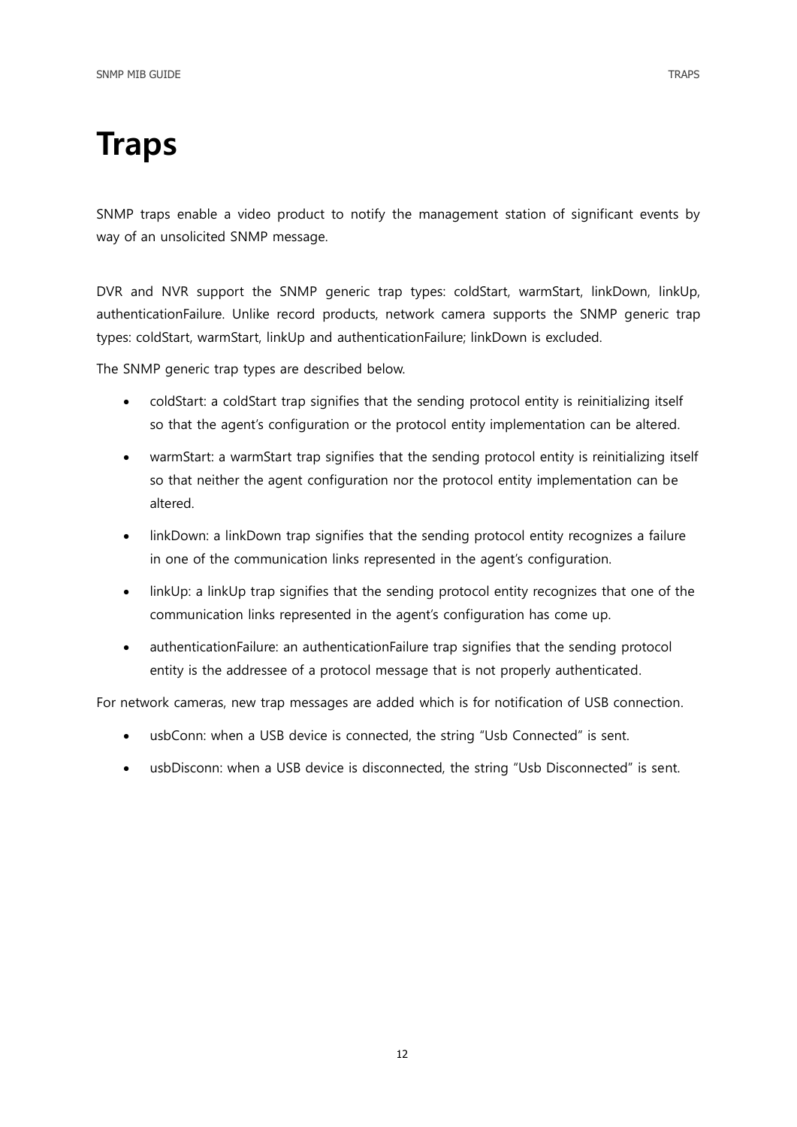<span id="page-11-0"></span>SNMP traps enable a video product to notify the management station of significant events by way of an unsolicited SNMP message.

DVR and NVR support the SNMP generic trap types: coldStart, warmStart, linkDown, linkUp, authenticationFailure. Unlike record products, network camera supports the SNMP generic trap types: coldStart, warmStart, linkUp and authenticationFailure; linkDown is excluded.

The SNMP generic trap types are described below.

- coldStart: a coldStart trap signifies that the sending protocol entity is reinitializing itself so that the agent's configuration or the protocol entity implementation can be altered.
- warmStart: a warmStart trap signifies that the sending protocol entity is reinitializing itself so that neither the agent configuration nor the protocol entity implementation can be altered.
- linkDown: a linkDown trap signifies that the sending protocol entity recognizes a failure in one of the communication links represented in the agent's configuration.
- linkUp: a linkUp trap signifies that the sending protocol entity recognizes that one of the communication links represented in the agent's configuration has come up.
- authenticationFailure: an authenticationFailure trap signifies that the sending protocol entity is the addressee of a protocol message that is not properly authenticated.

For network cameras, new trap messages are added which is for notification of USB connection.

- usbConn: when a USB device is connected, the string "Usb Connected" is sent.
- usbDisconn: when a USB device is disconnected, the string "Usb Disconnected" is sent.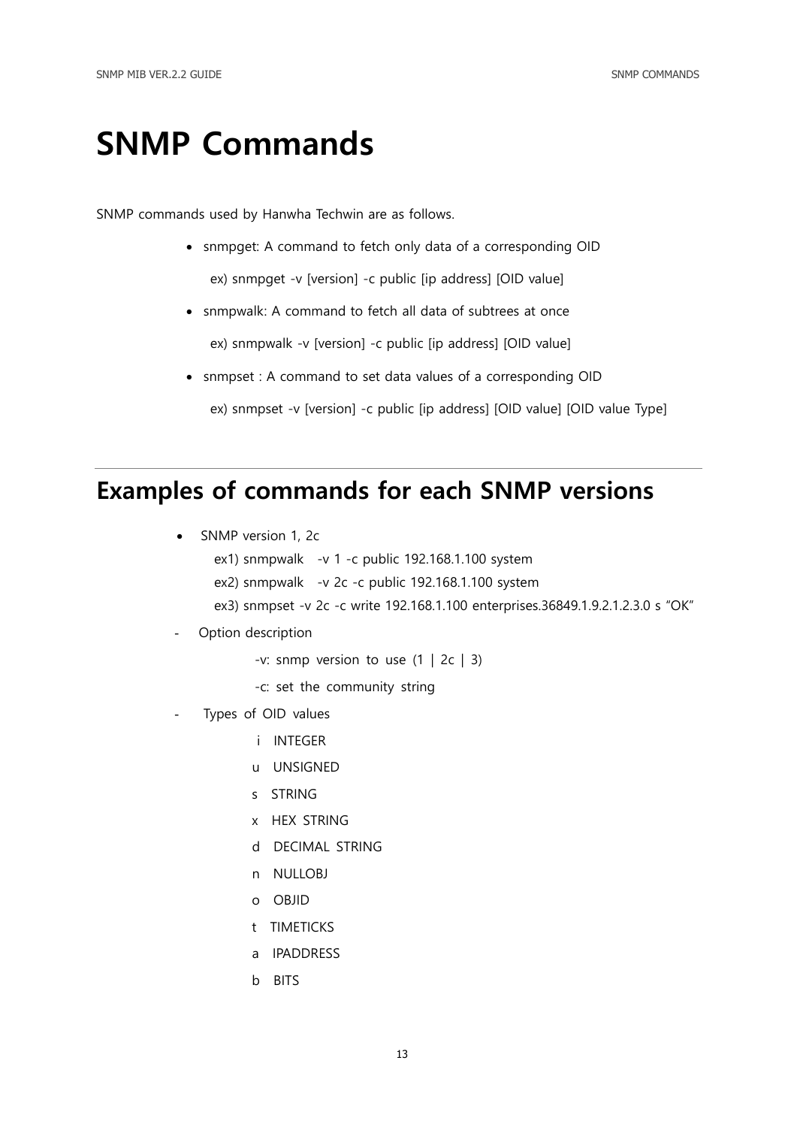## <span id="page-12-0"></span>SNMP Commands

SNMP commands used by Hanwha Techwin are as follows.

- snmpget: A command to fetch only data of a corresponding OID ex) snmpget -v [version] -c public [ip address] [OID value]
- snmpwalk: A command to fetch all data of subtrees at once ex) snmpwalk -v [version] -c public [ip address] [OID value]
- snmpset : A command to set data values of a corresponding OID ex) snmpset -v [version] -c public [ip address] [OID value] [OID value Type]

### <span id="page-12-1"></span>Examples of commands for each SNMP versions

- SNMP version 1, 2c
	- ex1) snmpwalk -v 1 -c public 192.168.1.100 system
	- ex2) snmpwalk -v 2c -c public 192.168.1.100 system
	- ex3) snmpset -v 2c -c write 192.168.1.100 enterprises.36849.1.9.2.1.2.3.0 s "OK"
- Option description
	- -v: snmp version to use  $(1 \mid 2c \mid 3)$
	- -c: set the community string
- Types of OID values
	- i INTEGER
	- u UNSIGNED
	- s STRING
	- x HEX STRING
	- d DECIMAL STRING
	- n NULLOBJ
	- o OBJID
	- t TIMETICKS
	- a IPADDRESS
	- b BITS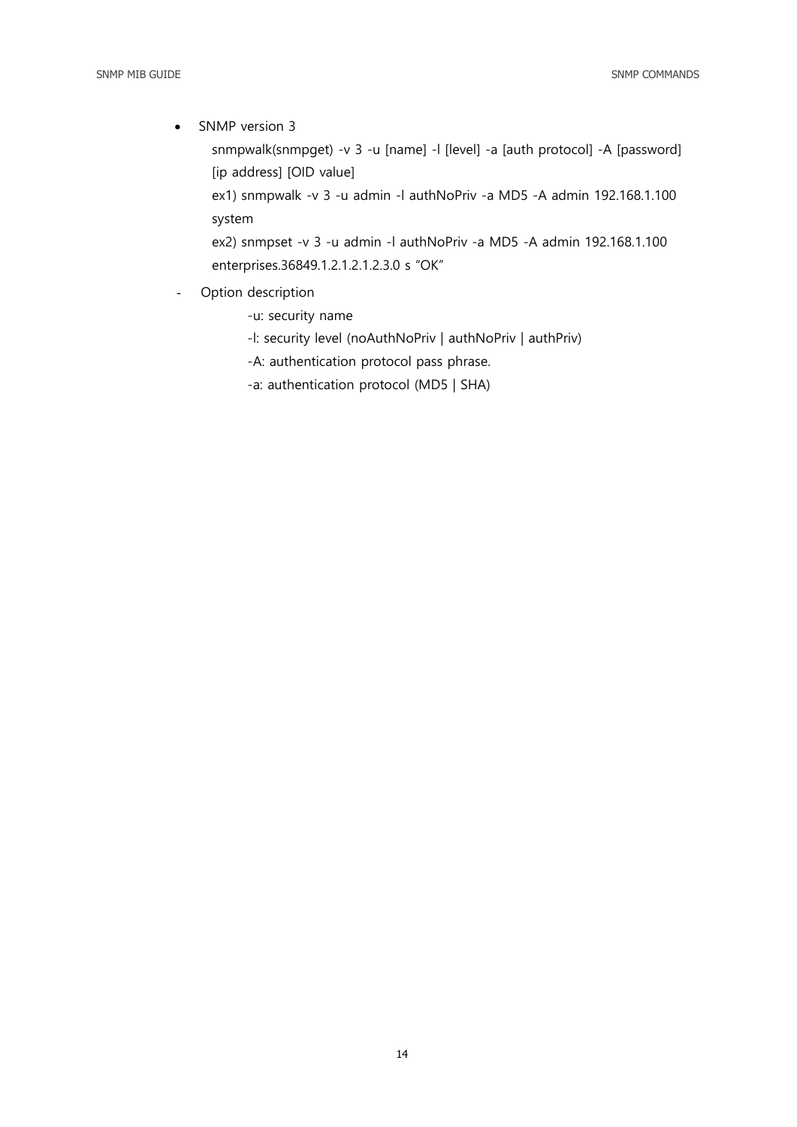• SNMP version 3

snmpwalk(snmpget) -v 3 -u [name] -l [level] -a [auth protocol] -A [password] [ip address] [OID value]

 ex1) snmpwalk -v 3 -u admin -l authNoPriv -a MD5 -A admin 192.168.1.100 system

 ex2) snmpset -v 3 -u admin -l authNoPriv -a MD5 -A admin 192.168.1.100 enterprises.36849.1.2.1.2.1.2.3.0 s "OK"

- Option description
	- -u: security name
	- -l: security level (noAuthNoPriv | authNoPriv | authPriv)
	- -A: authentication protocol pass phrase.
	- -a: authentication protocol (MD5 | SHA)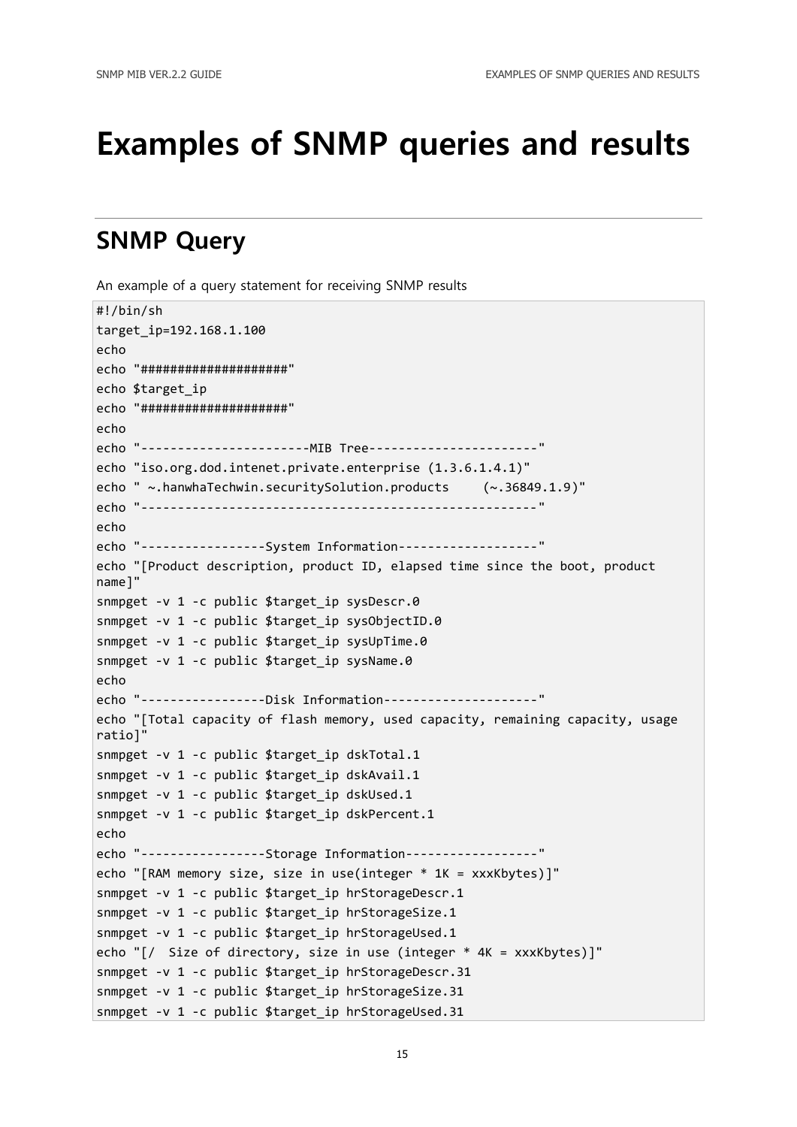## <span id="page-14-0"></span>Examples of SNMP queries and results

### <span id="page-14-1"></span>SNMP Query

An example of a query statement for receiving SNMP results

```
#!/bin/sh
target_ip=192.168.1.100
echo
echo "####################"
echo $target_ip
echo "####################"
echo
echo "-----------------------MIB Tree-----------------------"
echo "iso.org.dod.intenet.private.enterprise (1.3.6.1.4.1)"
echo " ~.hanwhaTechwin.securitySolution.products (~.36849.1.9)"
echo "------------------------------------------------------"
echo
echo "-----------------System Information-------------------"
echo "[Product description, product ID, elapsed time since the boot, product 
name]"
snmpget -v 1 -c public $target ip sysDescr.0
snmpget -v 1 -c public $target_ip sysObjectID.0
snmpget -v 1 -c public $target_ip sysUpTime.0
snmpget -v 1 -c public $target ip sysName.0
echo
echo "-----------------Disk Information---------------------"
echo "[Total capacity of flash memory, used capacity, remaining capacity, usage 
ratio]
snmpget -v 1 -c public $target_ip dskTotal.1
snmpget -v 1 -c public $target_ip dskAvail.1
snmpget -v 1 -c public $target ip dskUsed.1
snmpget -v 1 -c public $target ip dskPercent.1
echo
echo "-----------------Storage Information------------------"
echo "[RAM memory size, size in use(integer * 1K = xxxKbytes)]"
snmpget -v 1 -c public $target ip hrStorageDescr.1
snmpget -v 1 -c public $target_ip hrStorageSize.1
snmpget -v 1 -c public $target_ip hrStorageUsed.1
echo "[/ Size of directory, size in use (integer * 4K = xxxKbytes)]"
snmpget -v 1 -c public $target ip hrStorageDescr.31
snmpget -v 1 -c public $target ip hrStorageSize.31
snmpget -v 1 -c public $target ip hrStorageUsed.31
```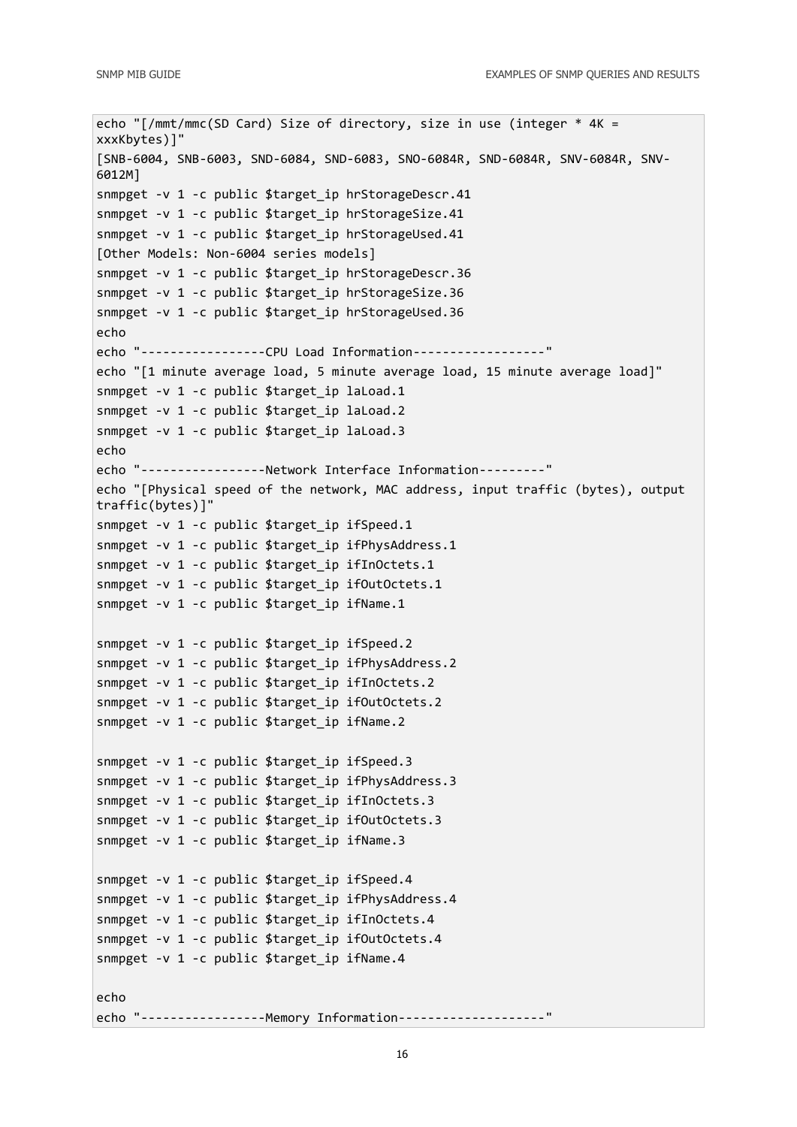```
echo "[/mmt/mmc(SD Card) Size of directory, size in use (integer * 4K = 
xxxKbytes)]"
[SNB-6004, SNB-6003, SND-6084, SND-6083, SNO-6084R, SND-6084R, SNV-6084R, SNV-
6012M]
snmpget -v 1 -c public $target ip hrStorageDescr.41
snmpget -v 1 -c public $target ip hrStorageSize.41
snmpget -v 1 -c public $target ip hrStorageUsed.41
[Other Models: Non-6004 series models]
snmpget -v 1 -c public $target ip hrStorageDescr.36
snmpget -v 1 -c public $target ip hrStorageSize.36
snmpget -v 1 -c public $target_ip hrStorageUsed.36
echo
echo "-----------------CPU Load Information------------------"
echo "[1 minute average load, 5 minute average load, 15 minute average load]"
snmpget -v 1 -c public $target ip laLoad.1
snmpget -v 1 -c public $target ip laLoad.2
snmpget -v 1 -c public $target_ip laLoad.3
echo
echo "-----------------Network Interface Information---------"
echo "[Physical speed of the network, MAC address, input traffic (bytes), output 
traffic(bytes)]"
snmpget -v 1 -c public $target_ip ifSpeed.1
snmpget -v 1 -c public $target ip ifPhysAddress.1
snmpget -v 1 -c public $target ip ifInOctets.1
snmpget -v 1 -c public $target_ip ifOutOctets.1
snmpget -v 1 -c public $target ip ifName.1
snmpget -v 1 -c public $target ip ifSpeed.2
snmpget -v 1 -c public $target ip ifPhysAddress.2
snmpget -v 1 -c public $target ip ifInOctets.2
snmpget -v 1 -c public $target ip ifOutOctets.2
snmpget -v 1 -c public $target_ip ifName.2
snmpget -v 1 -c public $target ip ifSpeed.3
snmpget -v 1 -c public $target ip ifPhysAddress.3
snmpget -v 1 -c public $target ip ifInOctets.3
snmpget -v 1 -c public $target ip ifOutOctets.3
snmpget -v 1 -c public $target_ip ifName.3
snmpget -v 1 -c public $target ip ifSpeed.4
snmpget -v 1 -c public $target_ip ifPhysAddress.4
snmpget -v 1 -c public $target_ip ifInOctets.4
snmpget -v 1 -c public $target_ip ifOutOctets.4
snmpget -v 1 -c public $target_ip ifName.4
echo
echo "-----------------Memory Information--------------------"
```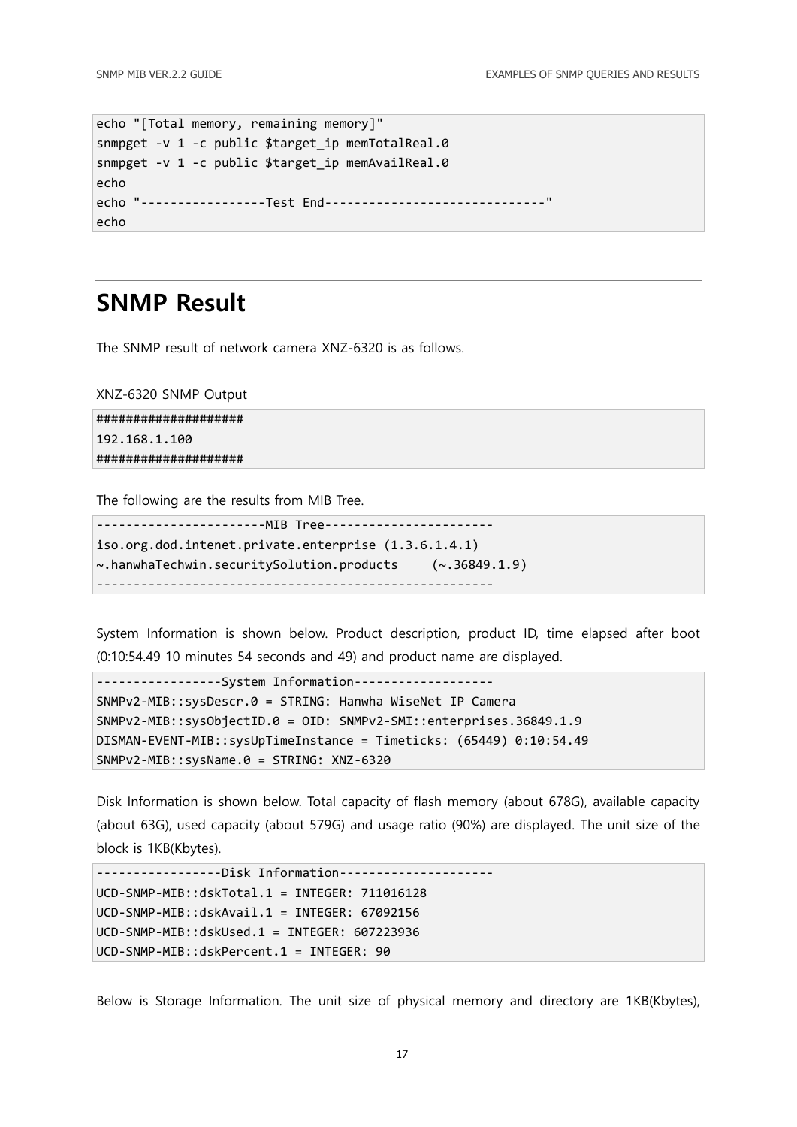```
echo "[Total memory, remaining memory]"
snmpget -v 1 -c public $target ip memTotalReal.0
snmpget -v 1 -c public $target ip memAvailReal.0
echo
echo "-----------------Test End------------------------------"
echo
```
### <span id="page-16-0"></span>SNMP Result

The SNMP result of network camera XNZ-6320 is as follows.

XNZ-6320 SNMP Output

#################### 192.168.1.100 ####################

The following are the results from MIB Tree.

```
-----------------------MIB Tree-----------------------
iso.org.dod.intenet.private.enterprise (1.3.6.1.4.1)
~.hanwhaTechwin.securitySolution.products (~.36849.1.9)
------------------------------------------------------
```
System Information is shown below. Product description, product ID, time elapsed after boot (0:10:54.49 10 minutes 54 seconds and 49) and product name are displayed.

```
-----------------System Information-------------------
SNMPv2-MIB::sysDescr.0 = STRING: Hanwha WiseNet IP Camera
SNMPv2-MIB::sysObjectID.0 = OID: SNMPv2-SMI::enterprises.36849.1.9
DISMAN-EVENT-MIB::sysUpTimeInstance = Timeticks: (65449) 0:10:54.49
SNMPv2-MIB::sysName.0 = STRING: XNZ-6320
```
Disk Information is shown below. Total capacity of flash memory (about 678G), available capacity (about 63G), used capacity (about 579G) and usage ratio (90%) are displayed. The unit size of the block is 1KB(Kbytes).

```
-----------------Disk Information---------------------
UCD-SNMP-MIB::dskTotal.1 = INTEGER: 711016128
UCD-SNMP-MIB::dskAvail.1 = INTEGER: 67092156
UCD-SNMP-MIB::dskUsed.1 = INTEGER: 607223936
UCD-SNMP-MIB::dskPercent.1 = INTEGER: 90
```
Below is Storage Information. The unit size of physical memory and directory are 1KB(Kbytes),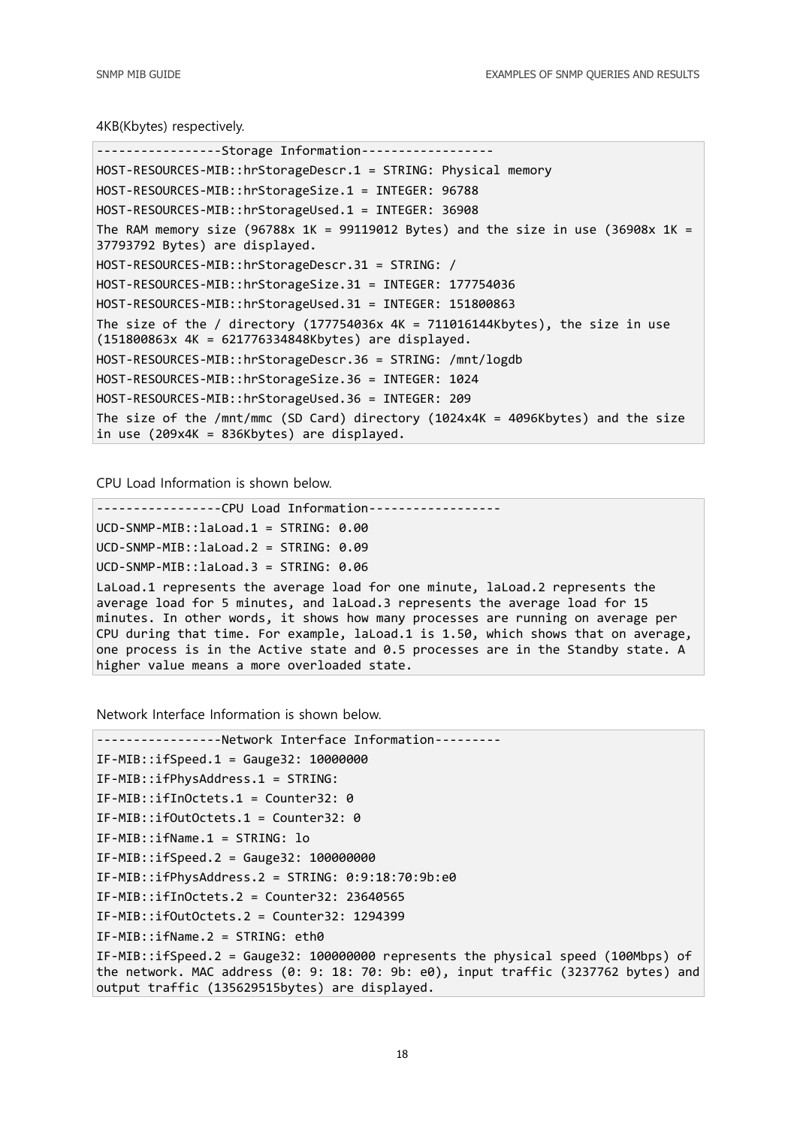4KB(Kbytes) respectively.

```
-----------------Storage Information------------------
HOST-RESOURCES-MIB::hrStorageDescr.1 = STRING: Physical memory
HOST-RESOURCES-MIB::hrStorageSize.1 = INTEGER: 96788
HOST-RESOURCES-MIB::hrStorageUsed.1 = INTEGER: 36908
The RAM memory size (96788x 1K = 99119012 Bytes) and the size in use (36908x 1K =
37793792 Bytes) are displayed.
HOST-RESOURCES-MIB::hrStorageDescr.31 = STRING: /
HOST-RESOURCES-MIB::hrStorageSize.31 = INTEGER: 177754036
HOST-RESOURCES-MIB::hrStorageUsed.31 = INTEGER: 151800863
The size of the / directory (177754036x 4K = 711016144Kbytes), the size in use 
(151800863x 4K = 621776334848Kbytes) are displayed.
HOST-RESOURCES-MIB::hrStorageDescr.36 = STRING: /mnt/logdb
HOST-RESOURCES-MIB::hrStorageSize.36 = INTEGER: 1024
HOST-RESOURCES-MIB::hrStorageUsed.36 = INTEGER: 209
The size of the /mnt/mmc (SD Card) directory (1024x4K = 4096Kbytes) and the size 
in use (209x4K = 836Kbytes) are displayed.
```
CPU Load Information is shown below.

```
-----------------CPU Load Information------------------
UCD-SNMP-MIB::laLoad.1 = STRING: 0.00
UCD-SNMP-MIB::laLoad.2 = STRING: 0.09
UCD-SNMP-MIB::laLoad.3 = STRING: 0.06
LaLoad.1 represents the average load for one minute, laLoad.2 represents the 
average load for 5 minutes, and laLoad.3 represents the average load for 15 
minutes. In other words, it shows how many processes are running on average per 
CPU during that time. For example, laLoad.1 is 1.50, which shows that on average, 
one process is in the Active state and 0.5 processes are in the Standby state. A 
higher value means a more overloaded state.
```
Network Interface Information is shown below.

```
-----------------Network Interface Information---------
IF-MIB::ifSpeed.1 = Gauge32: 10000000 
IF-MIB::ifPhysAddress.1 = STRING: 
IF-MIB::ifInOctets.1 = Counter32: 0 
IF-MIB::ifOutOctets.1 = Counter32: 0 
IF-MIB::ifName.1 = STRING: lo 
IF-MIB::ifSpeed.2 = Gauge32: 100000000
IF-MIB::ifPhysAddress.2 = STRING: 0:9:18:70:9b:e0
IF-MIB::ifInOctets.2 = Counter32: 23640565
IF-MIB::ifOutOctets.2 = Counter32: 1294399
IF-MIB::ifName.2 = STRING: eth0
IF-MIB::ifSpeed.2 = Gauge32: 100000000 represents the physical speed (100Mbps) of 
the network. MAC address (0: 9: 18: 70: 9b: e0), input traffic (3237762 bytes) and 
output traffic (135629515bytes) are displayed.
```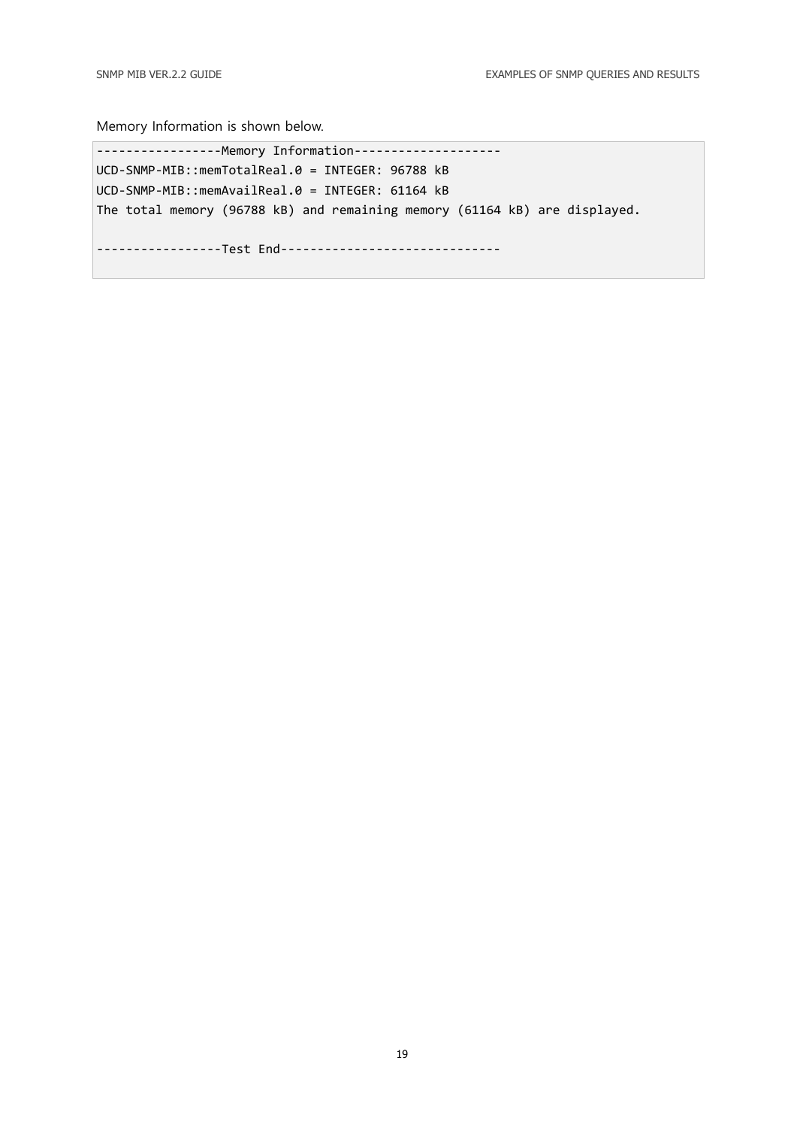Memory Information is shown below.

-----------------Memory Information-------------------- UCD-SNMP-MIB::memTotalReal.0 = INTEGER: 96788 kB UCD-SNMP-MIB::memAvailReal.0 = INTEGER: 61164 kB The total memory (96788 kB) and remaining memory (61164 kB) are displayed. -----------------Test End------------------------------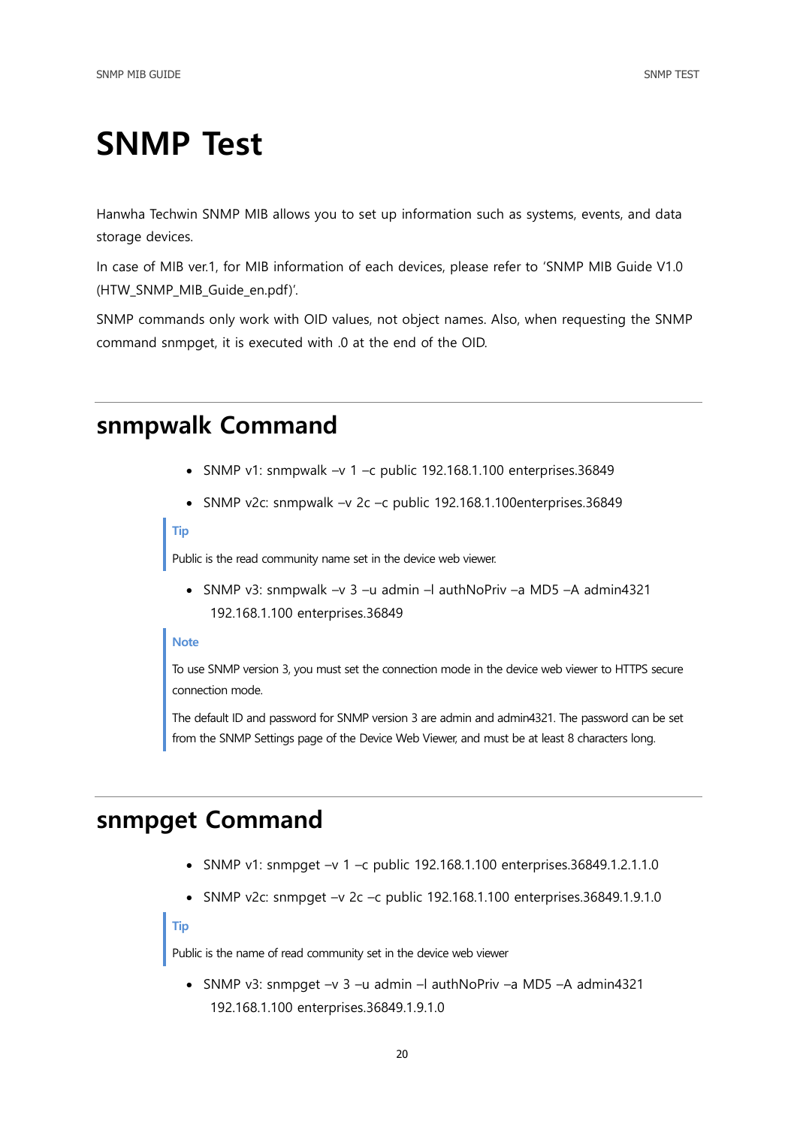## <span id="page-19-0"></span>SNMP Test

Hanwha Techwin SNMP MIB allows you to set up information such as systems, events, and data storage devices.

In case of MIB ver.1, for MIB information of each devices, please refer to 'SNMP MIB Guide V1.0 (HTW\_SNMP\_MIB\_Guide\_en.pdf)'.

<span id="page-19-1"></span>SNMP commands only work with OID values, not object names. Also, when requesting the SNMP command snmpget, it is executed with .0 at the end of the OID.

### snmpwalk Command

- SNMP v1: snmpwalk  $-v$  1 -c public 192.168.1.100 enterprises.36849
- SNMP v2c: snmpwalk –v 2c –c public 192.168.1.100enterprises.36849

#### Tip

Public is the read community name set in the device web viewer.

 SNMP v3: snmpwalk –v 3 –u admin –l authNoPriv –a MD5 –A admin4321 192.168.1.100 enterprises.36849

### Note

To use SNMP version 3, you must set the connection mode in the device web viewer to HTTPS secure connection mode.

The default ID and password for SNMP version 3 are admin and admin4321. The password can be set from the SNMP Settings page of the Device Web Viewer, and must be at least 8 characters long.

### <span id="page-19-2"></span>snmpget Command

- SNMP v1: snmpget –v 1 –c public 192.168.1.100 enterprises.36849.1.2.1.1.0
- SNMP v2c: snmpget –v 2c –c public 192.168.1.100 enterprises.36849.1.9.1.0

### Tip

Public is the name of read community set in the device web viewer

 SNMP v3: snmpget –v 3 –u admin –l authNoPriv –a MD5 –A admin4321 192.168.1.100 enterprises.36849.1.9.1.0